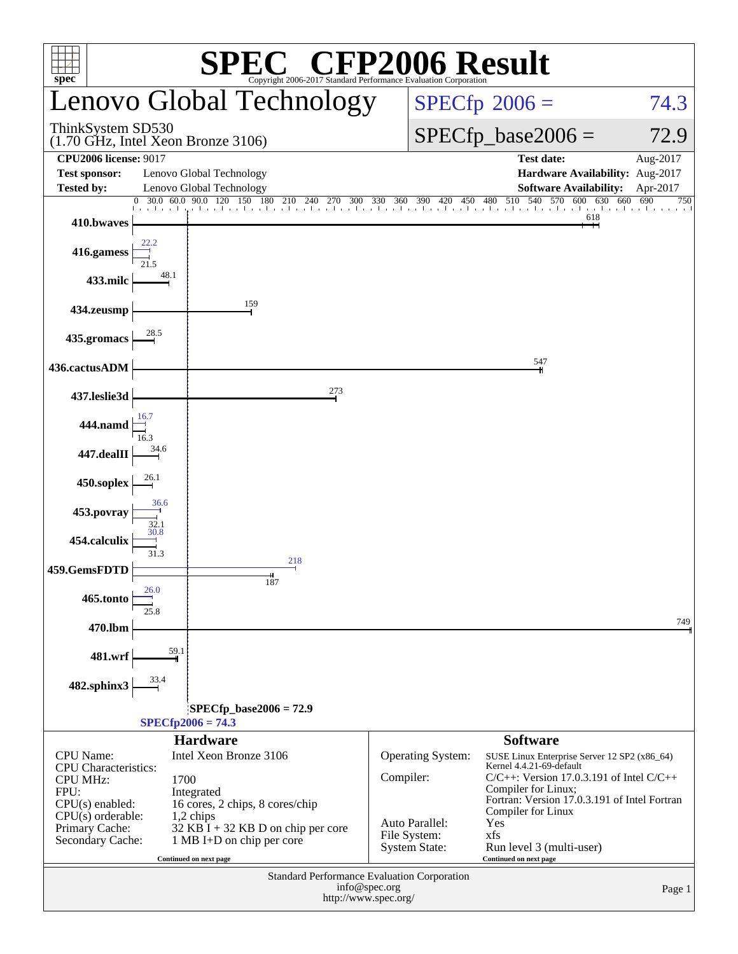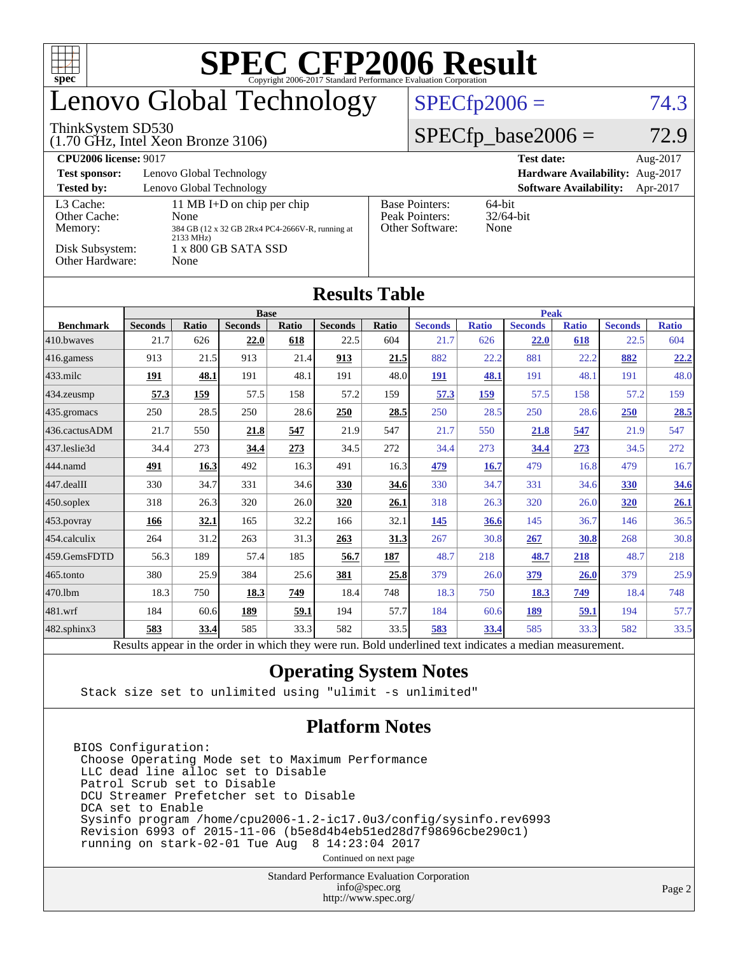| $spec^{\circ}$                                                                             |                                                 |                              |                |       |                |                                                                |                |              |                |              |                |              |  |  |
|--------------------------------------------------------------------------------------------|-------------------------------------------------|------------------------------|----------------|-------|----------------|----------------------------------------------------------------|----------------|--------------|----------------|--------------|----------------|--------------|--|--|
| Lenovo Global Technology                                                                   |                                                 |                              |                |       |                | $SPECfp2006 =$<br>74.3                                         |                |              |                |              |                |              |  |  |
| ThinkSystem SD530<br>$(1.70 \text{ GHz}, \text{Intel Xeon Bronze } 3106)$                  |                                                 | $SPECfp\_base2006 =$<br>72.9 |                |       |                |                                                                |                |              |                |              |                |              |  |  |
| <b>CPU2006 license: 9017</b><br><b>Test date:</b>                                          |                                                 |                              |                |       |                |                                                                |                |              |                |              |                | Aug-2017     |  |  |
| Lenovo Global Technology<br>Hardware Availability: Aug-2017<br><b>Test sponsor:</b>        |                                                 |                              |                |       |                |                                                                |                |              |                |              |                |              |  |  |
| <b>Tested by:</b><br>Lenovo Global Technology<br><b>Software Availability:</b><br>Apr-2017 |                                                 |                              |                |       |                |                                                                |                |              |                |              |                |              |  |  |
| L3 Cache:<br>Other Cache:                                                                  | 11 MB I+D on chip per chip<br>None              |                              |                |       |                | <b>Base Pointers:</b><br>64-bit<br>Peak Pointers:<br>32/64-bit |                |              |                |              |                |              |  |  |
| Memory:                                                                                    | 384 GB (12 x 32 GB 2Rx4 PC4-2666V-R, running at |                              |                |       |                | Other Software:<br>None                                        |                |              |                |              |                |              |  |  |
| 2133 MHz)<br>Disk Subsystem:<br>1 x 800 GB SATA SSD                                        |                                                 |                              |                |       |                |                                                                |                |              |                |              |                |              |  |  |
| Other Hardware:<br>None                                                                    |                                                 |                              |                |       |                |                                                                |                |              |                |              |                |              |  |  |
| <b>Results Table</b>                                                                       |                                                 |                              |                |       |                |                                                                |                |              |                |              |                |              |  |  |
|                                                                                            | <b>Base</b>                                     |                              |                |       |                |                                                                |                | <b>Peak</b>  |                |              |                |              |  |  |
| <b>Benchmark</b>                                                                           | <b>Seconds</b>                                  | <b>Ratio</b>                 | <b>Seconds</b> | Ratio | <b>Seconds</b> | <b>Ratio</b>                                                   | <b>Seconds</b> | <b>Ratio</b> | <b>Seconds</b> | <b>Ratio</b> | <b>Seconds</b> | <b>Ratio</b> |  |  |
| 410.bwayes                                                                                 | 21.7                                            | 626                          | 22.0           | 618   | 22.5           | 604                                                            | 21.7           | 626          | 22.0           | 618          | 22.5           | 604          |  |  |
| 416.gamess                                                                                 | 913                                             | 21.5                         | 913            | 21.4  | 913            | 21.5                                                           | 882            | 22.2         | 881            | 22.2         | 882            | 22.2         |  |  |
| 433.milc                                                                                   | 191                                             | 48.1                         | 191            | 48.1  | 191            | 48.0                                                           | 191            | 48.1         | 191            | 48.1         | 191            | 48.0         |  |  |
| 434.zeusmp                                                                                 | 57.3                                            | 159                          | 57.5           | 158   | 57.2           | 159                                                            | 57.3           | 159          | 57.5           | 158          | 57.2           | 159          |  |  |
| 435.gromacs                                                                                | 250                                             | 28.5                         | 250            | 28.6  | 250            | 28.5                                                           | 250            | 28.5         | 250            | 28.6         | 250            | 28.5         |  |  |
| 436.cactusADM                                                                              | 21.7                                            | 550                          | 21.8           | 547   | 21.9           | 547                                                            | 21.7           | 550          | 21.8           | 547          | 21.9           | 547          |  |  |
| 437.leslie3d                                                                               | 34.4                                            | 273                          | 34.4           | 273   | 34.5           | 272                                                            | 34.4           | 273          | 34.4           | 273          | 34.5           | 272          |  |  |
| 444.namd                                                                                   | 491                                             | 16.3                         | 492            | 16.3  | 491            | 16.3                                                           | 479            | <b>16.7</b>  | 479            | 16.8         | 479            | 16.7         |  |  |
| 447.dealII                                                                                 | 330                                             | 34.7                         | 331            | 34.6  | 330            | 34.6                                                           | 330            | 34.7         | 331            | 34.6         | 330            | 34.6         |  |  |
| 450.soplex                                                                                 | 318                                             | 26.3                         | 320            | 26.0  | 320            | 26.1                                                           | 318            | 26.3         | 320            | 26.0         | 320            | 26.1         |  |  |
| 453.povray                                                                                 | 166                                             | 32.1                         | 165            | 32.2  | 166            | 32.1                                                           | 145            | 36.6         | 145            | 36.7         | 146            | 36.5         |  |  |
| 454.calculix                                                                               | 264                                             | 31.2                         | 263            | 31.3  | 263            | 31.3                                                           | 267            | 30.8         | 267            | <b>30.8</b>  | 268            | 30.8         |  |  |
| 459.GemsFDTD                                                                               | 56.3                                            | 189                          | 57.4           | 185   | 56.7           | 187                                                            | 48.7           | 218          | 48.7           | 218          | 48.7           | 218          |  |  |
| 465.tonto                                                                                  | 380                                             | 25.9                         | 384            | 25.6  | 381            | 25.8                                                           | 379            | 26.0         | 379            | <b>26.0</b>  | 379            | 25.9         |  |  |
| 470.1bm                                                                                    | 18.3                                            | 750                          | 18.3           | 749   | 18.4           | 748                                                            | 18.3           | 750          | 18.3           | 749          | 18.4           | 748          |  |  |
| 481.wrf                                                                                    | 184                                             | 60.6                         | 189            | 59.1  | 194            | 57.7                                                           | 184            | 60.6         | 189            | 59.1         | 194            | 57.7         |  |  |
| 482.sphinx3                                                                                | 583                                             | 33.4                         | 585            | 33.3  | 582            | 33.5                                                           | 583            | 33.4         | 585            | 33.3         | 582            | 33.5         |  |  |

Results appear in the [order in which they were run.](http://www.spec.org/auto/cpu2006/Docs/result-fields.html#RunOrder) Bold underlined text [indicates a median measurement.](http://www.spec.org/auto/cpu2006/Docs/result-fields.html#Median)

#### **[Operating System Notes](http://www.spec.org/auto/cpu2006/Docs/result-fields.html#OperatingSystemNotes)**

Stack size set to unlimited using "ulimit -s unlimited"

#### **[Platform Notes](http://www.spec.org/auto/cpu2006/Docs/result-fields.html#PlatformNotes)**

BIOS Configuration: Choose Operating Mode set to Maximum Performance LLC dead line alloc set to Disable Patrol Scrub set to Disable DCU Streamer Prefetcher set to Disable DCA set to Enable Sysinfo program /home/cpu2006-1.2-ic17.0u3/config/sysinfo.rev6993 Revision 6993 of 2015-11-06 (b5e8d4b4eb51ed28d7f98696cbe290c1) running on stark-02-01 Tue Aug 8 14:23:04 2017

Continued on next page

Standard Performance Evaluation Corporation [info@spec.org](mailto:info@spec.org) <http://www.spec.org/>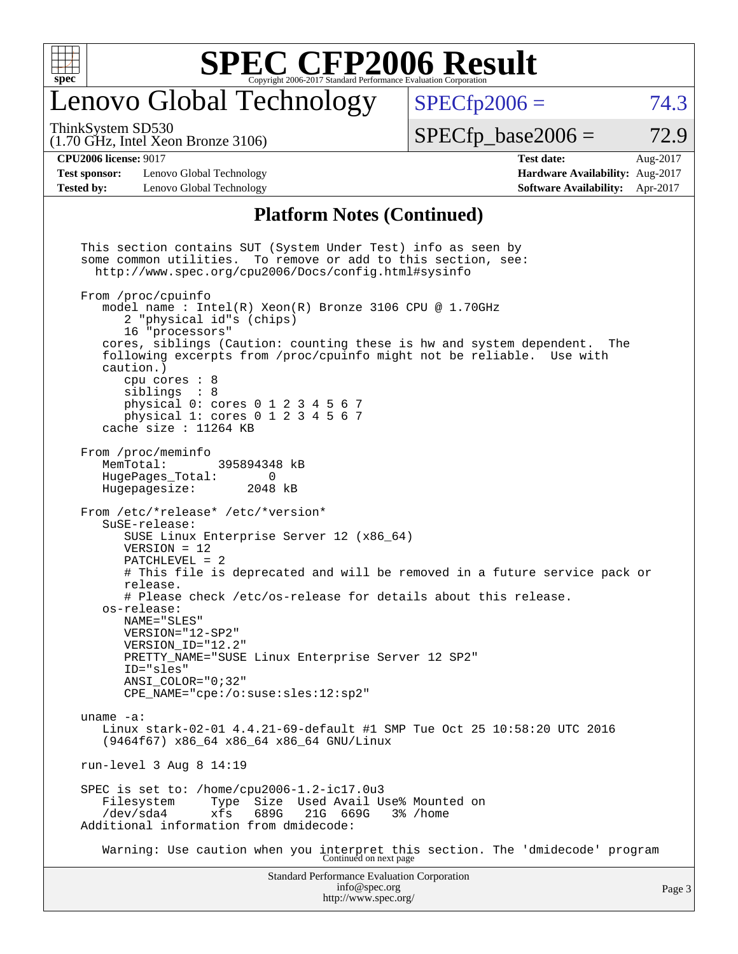

### enovo Global Technology

ThinkSystem SD530

(1.70 GHz, Intel Xeon Bronze 3106)

 $SPECTp2006 = 74.3$ 

 $SPECTp\_base2006 = 72.9$ 

**[CPU2006 license:](http://www.spec.org/auto/cpu2006/Docs/result-fields.html#CPU2006license)** 9017 **[Test date:](http://www.spec.org/auto/cpu2006/Docs/result-fields.html#Testdate)** Aug-2017 **[Test sponsor:](http://www.spec.org/auto/cpu2006/Docs/result-fields.html#Testsponsor)** Lenovo Global Technology **[Hardware Availability:](http://www.spec.org/auto/cpu2006/Docs/result-fields.html#HardwareAvailability)** Aug-2017

**[Tested by:](http://www.spec.org/auto/cpu2006/Docs/result-fields.html#Testedby)** Lenovo Global Technology **[Software Availability:](http://www.spec.org/auto/cpu2006/Docs/result-fields.html#SoftwareAvailability)** Apr-2017

#### **[Platform Notes \(Continued\)](http://www.spec.org/auto/cpu2006/Docs/result-fields.html#PlatformNotes)**

Standard Performance Evaluation Corporation [info@spec.org](mailto:info@spec.org) This section contains SUT (System Under Test) info as seen by some common utilities. To remove or add to this section, see: <http://www.spec.org/cpu2006/Docs/config.html#sysinfo> From /proc/cpuinfo model name : Intel(R) Xeon(R) Bronze 3106 CPU @ 1.70GHz 2 "physical id"s (chips) 16 "processors" cores, siblings (Caution: counting these is hw and system dependent. The following excerpts from /proc/cpuinfo might not be reliable. Use with caution.) cpu cores : 8 siblings : 8 physical 0: cores 0 1 2 3 4 5 6 7 physical 1: cores 0 1 2 3 4 5 6 7 cache size : 11264 KB From /proc/meminfo<br>MemTotal: 395894348 kB HugePages\_Total: 0 Hugepagesize: 2048 kB From /etc/\*release\* /etc/\*version\* SuSE-release: SUSE Linux Enterprise Server 12 (x86\_64) VERSION = 12 PATCHLEVEL = 2 # This file is deprecated and will be removed in a future service pack or release. # Please check /etc/os-release for details about this release. os-release: NAME="SLES" VERSION="12-SP2" VERSION\_ID="12.2" PRETTY\_NAME="SUSE Linux Enterprise Server 12 SP2" ID="sles" ANSI\_COLOR="0;32" CPE\_NAME="cpe:/o:suse:sles:12:sp2" uname -a: Linux stark-02-01 4.4.21-69-default #1 SMP Tue Oct 25 10:58:20 UTC 2016 (9464f67) x86\_64 x86\_64 x86\_64 GNU/Linux run-level 3 Aug 8 14:19 SPEC is set to: /home/cpu2006-1.2-ic17.0u3 Filesystem Type Size Used Avail Use% Mounted on<br>
/dev/sda4 xfs 689G 21G 669G 3% /home /dev/sda4 xfs 689G 21G 669G 3% /home Additional information from dmidecode: Warning: Use caution when you interpret this section. The 'dmidecode' program Continued on next page

<http://www.spec.org/>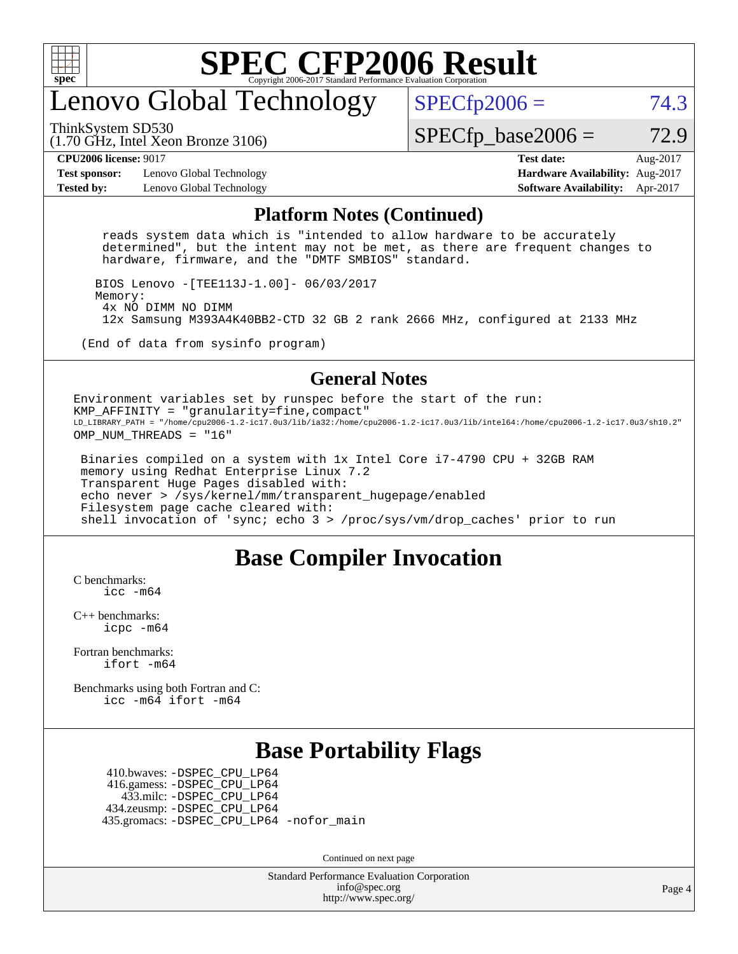

## enovo Global Technology

ThinkSystem SD530

 $SPECTp2006 = 74.3$ 

(1.70 GHz, Intel Xeon Bronze 3106)

 $SPECTp\_base2006 = 72.9$ 

**[Test sponsor:](http://www.spec.org/auto/cpu2006/Docs/result-fields.html#Testsponsor)** Lenovo Global Technology **[Hardware Availability:](http://www.spec.org/auto/cpu2006/Docs/result-fields.html#HardwareAvailability)** Aug-2017 **[Tested by:](http://www.spec.org/auto/cpu2006/Docs/result-fields.html#Testedby)** Lenovo Global Technology **[Software Availability:](http://www.spec.org/auto/cpu2006/Docs/result-fields.html#SoftwareAvailability)** Apr-2017

**[CPU2006 license:](http://www.spec.org/auto/cpu2006/Docs/result-fields.html#CPU2006license)** 9017 **[Test date:](http://www.spec.org/auto/cpu2006/Docs/result-fields.html#Testdate)** Aug-2017

#### **[Platform Notes \(Continued\)](http://www.spec.org/auto/cpu2006/Docs/result-fields.html#PlatformNotes)**

 reads system data which is "intended to allow hardware to be accurately determined", but the intent may not be met, as there are frequent changes to hardware, firmware, and the "DMTF SMBIOS" standard.

 BIOS Lenovo -[TEE113J-1.00]- 06/03/2017 Memory: 4x NO DIMM NO DIMM 12x Samsung M393A4K40BB2-CTD 32 GB 2 rank 2666 MHz, configured at 2133 MHz

(End of data from sysinfo program)

#### **[General Notes](http://www.spec.org/auto/cpu2006/Docs/result-fields.html#GeneralNotes)**

Environment variables set by runspec before the start of the run: KMP\_AFFINITY = "granularity=fine,compact" LD\_LIBRARY\_PATH = "/home/cpu2006-1.2-ic17.0u3/lib/ia32:/home/cpu2006-1.2-ic17.0u3/lib/intel64:/home/cpu2006-1.2-ic17.0u3/sh10.2" OMP NUM THREADS = "16"

 Binaries compiled on a system with 1x Intel Core i7-4790 CPU + 32GB RAM memory using Redhat Enterprise Linux 7.2 Transparent Huge Pages disabled with: echo never > /sys/kernel/mm/transparent\_hugepage/enabled Filesystem page cache cleared with: shell invocation of 'sync; echo 3 > /proc/sys/vm/drop\_caches' prior to run

#### **[Base Compiler Invocation](http://www.spec.org/auto/cpu2006/Docs/result-fields.html#BaseCompilerInvocation)**

[C benchmarks](http://www.spec.org/auto/cpu2006/Docs/result-fields.html#Cbenchmarks): [icc -m64](http://www.spec.org/cpu2006/results/res2017q4/cpu2006-20170918-49598.flags.html#user_CCbase_intel_icc_64bit_bda6cc9af1fdbb0edc3795bac97ada53)

[C++ benchmarks:](http://www.spec.org/auto/cpu2006/Docs/result-fields.html#CXXbenchmarks) [icpc -m64](http://www.spec.org/cpu2006/results/res2017q4/cpu2006-20170918-49598.flags.html#user_CXXbase_intel_icpc_64bit_fc66a5337ce925472a5c54ad6a0de310)

[Fortran benchmarks](http://www.spec.org/auto/cpu2006/Docs/result-fields.html#Fortranbenchmarks): [ifort -m64](http://www.spec.org/cpu2006/results/res2017q4/cpu2006-20170918-49598.flags.html#user_FCbase_intel_ifort_64bit_ee9d0fb25645d0210d97eb0527dcc06e)

[Benchmarks using both Fortran and C](http://www.spec.org/auto/cpu2006/Docs/result-fields.html#BenchmarksusingbothFortranandC): [icc -m64](http://www.spec.org/cpu2006/results/res2017q4/cpu2006-20170918-49598.flags.html#user_CC_FCbase_intel_icc_64bit_bda6cc9af1fdbb0edc3795bac97ada53) [ifort -m64](http://www.spec.org/cpu2006/results/res2017q4/cpu2006-20170918-49598.flags.html#user_CC_FCbase_intel_ifort_64bit_ee9d0fb25645d0210d97eb0527dcc06e)

#### **[Base Portability Flags](http://www.spec.org/auto/cpu2006/Docs/result-fields.html#BasePortabilityFlags)**

 410.bwaves: [-DSPEC\\_CPU\\_LP64](http://www.spec.org/cpu2006/results/res2017q4/cpu2006-20170918-49598.flags.html#suite_basePORTABILITY410_bwaves_DSPEC_CPU_LP64) 416.gamess: [-DSPEC\\_CPU\\_LP64](http://www.spec.org/cpu2006/results/res2017q4/cpu2006-20170918-49598.flags.html#suite_basePORTABILITY416_gamess_DSPEC_CPU_LP64) 433.milc: [-DSPEC\\_CPU\\_LP64](http://www.spec.org/cpu2006/results/res2017q4/cpu2006-20170918-49598.flags.html#suite_basePORTABILITY433_milc_DSPEC_CPU_LP64) 434.zeusmp: [-DSPEC\\_CPU\\_LP64](http://www.spec.org/cpu2006/results/res2017q4/cpu2006-20170918-49598.flags.html#suite_basePORTABILITY434_zeusmp_DSPEC_CPU_LP64) 435.gromacs: [-DSPEC\\_CPU\\_LP64](http://www.spec.org/cpu2006/results/res2017q4/cpu2006-20170918-49598.flags.html#suite_basePORTABILITY435_gromacs_DSPEC_CPU_LP64) [-nofor\\_main](http://www.spec.org/cpu2006/results/res2017q4/cpu2006-20170918-49598.flags.html#user_baseLDPORTABILITY435_gromacs_f-nofor_main)

Continued on next page

Standard Performance Evaluation Corporation [info@spec.org](mailto:info@spec.org) <http://www.spec.org/>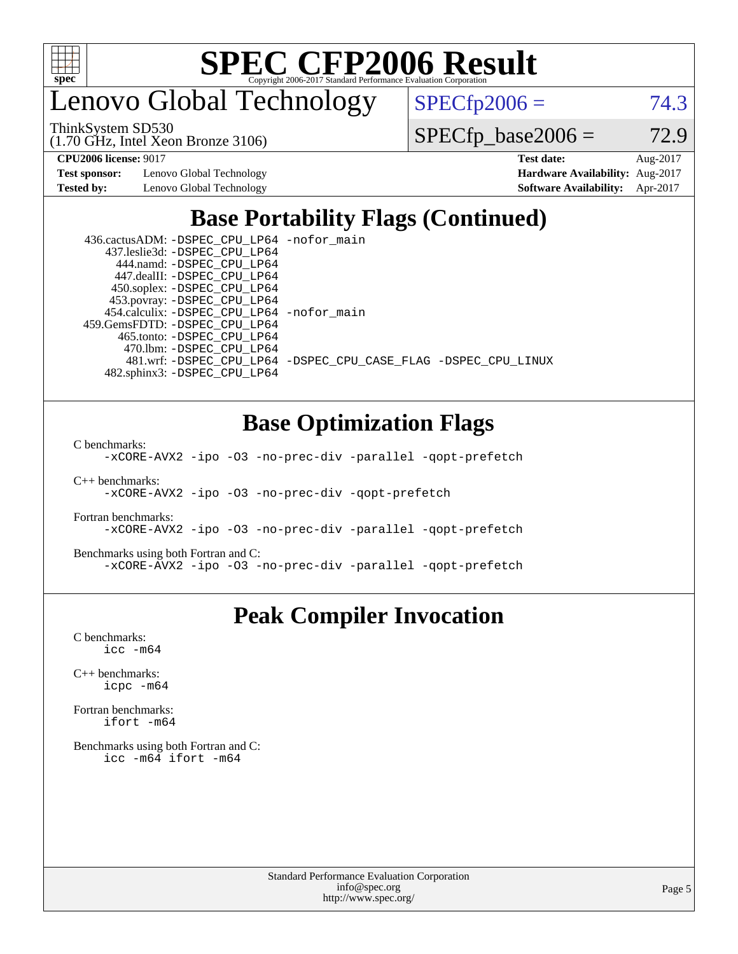

enovo Global Technology

ThinkSystem SD530

(1.70 GHz, Intel Xeon Bronze 3106)

 $SPECTp2006 = 74.3$ 

 $SPECfp\_base2006 = 72.9$ 

**[Test sponsor:](http://www.spec.org/auto/cpu2006/Docs/result-fields.html#Testsponsor)** Lenovo Global Technology **[Hardware Availability:](http://www.spec.org/auto/cpu2006/Docs/result-fields.html#HardwareAvailability)** Aug-2017

**[CPU2006 license:](http://www.spec.org/auto/cpu2006/Docs/result-fields.html#CPU2006license)** 9017 **[Test date:](http://www.spec.org/auto/cpu2006/Docs/result-fields.html#Testdate)** Aug-2017 **[Tested by:](http://www.spec.org/auto/cpu2006/Docs/result-fields.html#Testedby)** Lenovo Global Technology **[Software Availability:](http://www.spec.org/auto/cpu2006/Docs/result-fields.html#SoftwareAvailability)** Apr-2017

### **[Base Portability Flags \(Continued\)](http://www.spec.org/auto/cpu2006/Docs/result-fields.html#BasePortabilityFlags)**

| 436.cactusADM: - DSPEC CPU LP64 - nofor main |                                                                |
|----------------------------------------------|----------------------------------------------------------------|
| 437.leslie3d: -DSPEC CPU LP64                |                                                                |
| 444.namd: - DSPEC_CPU_LP64                   |                                                                |
| 447.dealII: -DSPEC CPU LP64                  |                                                                |
| 450.soplex: -DSPEC_CPU_LP64                  |                                                                |
| 453.povray: -DSPEC_CPU_LP64                  |                                                                |
| 454.calculix: - DSPEC CPU LP64 - nofor main  |                                                                |
| 459.GemsFDTD: -DSPEC CPU LP64                |                                                                |
| 465.tonto: -DSPEC CPU LP64                   |                                                                |
| 470.1bm: - DSPEC CPU LP64                    |                                                                |
|                                              | 481.wrf: -DSPEC CPU_LP64 -DSPEC_CPU_CASE_FLAG -DSPEC_CPU_LINUX |
| 482.sphinx3: -DSPEC CPU LP64                 |                                                                |

#### **[Base Optimization Flags](http://www.spec.org/auto/cpu2006/Docs/result-fields.html#BaseOptimizationFlags)**

[C benchmarks](http://www.spec.org/auto/cpu2006/Docs/result-fields.html#Cbenchmarks):

[-xCORE-AVX2](http://www.spec.org/cpu2006/results/res2017q4/cpu2006-20170918-49598.flags.html#user_CCbase_f-xCORE-AVX2) [-ipo](http://www.spec.org/cpu2006/results/res2017q4/cpu2006-20170918-49598.flags.html#user_CCbase_f-ipo) [-O3](http://www.spec.org/cpu2006/results/res2017q4/cpu2006-20170918-49598.flags.html#user_CCbase_f-O3) [-no-prec-div](http://www.spec.org/cpu2006/results/res2017q4/cpu2006-20170918-49598.flags.html#user_CCbase_f-no-prec-div) [-parallel](http://www.spec.org/cpu2006/results/res2017q4/cpu2006-20170918-49598.flags.html#user_CCbase_f-parallel) [-qopt-prefetch](http://www.spec.org/cpu2006/results/res2017q4/cpu2006-20170918-49598.flags.html#user_CCbase_f-qopt-prefetch)

[C++ benchmarks:](http://www.spec.org/auto/cpu2006/Docs/result-fields.html#CXXbenchmarks) [-xCORE-AVX2](http://www.spec.org/cpu2006/results/res2017q4/cpu2006-20170918-49598.flags.html#user_CXXbase_f-xCORE-AVX2) [-ipo](http://www.spec.org/cpu2006/results/res2017q4/cpu2006-20170918-49598.flags.html#user_CXXbase_f-ipo) [-O3](http://www.spec.org/cpu2006/results/res2017q4/cpu2006-20170918-49598.flags.html#user_CXXbase_f-O3) [-no-prec-div](http://www.spec.org/cpu2006/results/res2017q4/cpu2006-20170918-49598.flags.html#user_CXXbase_f-no-prec-div) [-qopt-prefetch](http://www.spec.org/cpu2006/results/res2017q4/cpu2006-20170918-49598.flags.html#user_CXXbase_f-qopt-prefetch)

[Fortran benchmarks](http://www.spec.org/auto/cpu2006/Docs/result-fields.html#Fortranbenchmarks): [-xCORE-AVX2](http://www.spec.org/cpu2006/results/res2017q4/cpu2006-20170918-49598.flags.html#user_FCbase_f-xCORE-AVX2) [-ipo](http://www.spec.org/cpu2006/results/res2017q4/cpu2006-20170918-49598.flags.html#user_FCbase_f-ipo) [-O3](http://www.spec.org/cpu2006/results/res2017q4/cpu2006-20170918-49598.flags.html#user_FCbase_f-O3) [-no-prec-div](http://www.spec.org/cpu2006/results/res2017q4/cpu2006-20170918-49598.flags.html#user_FCbase_f-no-prec-div) [-parallel](http://www.spec.org/cpu2006/results/res2017q4/cpu2006-20170918-49598.flags.html#user_FCbase_f-parallel) [-qopt-prefetch](http://www.spec.org/cpu2006/results/res2017q4/cpu2006-20170918-49598.flags.html#user_FCbase_f-qopt-prefetch)

[Benchmarks using both Fortran and C](http://www.spec.org/auto/cpu2006/Docs/result-fields.html#BenchmarksusingbothFortranandC): [-xCORE-AVX2](http://www.spec.org/cpu2006/results/res2017q4/cpu2006-20170918-49598.flags.html#user_CC_FCbase_f-xCORE-AVX2) [-ipo](http://www.spec.org/cpu2006/results/res2017q4/cpu2006-20170918-49598.flags.html#user_CC_FCbase_f-ipo) [-O3](http://www.spec.org/cpu2006/results/res2017q4/cpu2006-20170918-49598.flags.html#user_CC_FCbase_f-O3) [-no-prec-div](http://www.spec.org/cpu2006/results/res2017q4/cpu2006-20170918-49598.flags.html#user_CC_FCbase_f-no-prec-div) [-parallel](http://www.spec.org/cpu2006/results/res2017q4/cpu2006-20170918-49598.flags.html#user_CC_FCbase_f-parallel) [-qopt-prefetch](http://www.spec.org/cpu2006/results/res2017q4/cpu2006-20170918-49598.flags.html#user_CC_FCbase_f-qopt-prefetch)

#### **[Peak Compiler Invocation](http://www.spec.org/auto/cpu2006/Docs/result-fields.html#PeakCompilerInvocation)**

[C benchmarks](http://www.spec.org/auto/cpu2006/Docs/result-fields.html#Cbenchmarks): [icc -m64](http://www.spec.org/cpu2006/results/res2017q4/cpu2006-20170918-49598.flags.html#user_CCpeak_intel_icc_64bit_bda6cc9af1fdbb0edc3795bac97ada53)

[C++ benchmarks:](http://www.spec.org/auto/cpu2006/Docs/result-fields.html#CXXbenchmarks) [icpc -m64](http://www.spec.org/cpu2006/results/res2017q4/cpu2006-20170918-49598.flags.html#user_CXXpeak_intel_icpc_64bit_fc66a5337ce925472a5c54ad6a0de310)

[Fortran benchmarks](http://www.spec.org/auto/cpu2006/Docs/result-fields.html#Fortranbenchmarks): [ifort -m64](http://www.spec.org/cpu2006/results/res2017q4/cpu2006-20170918-49598.flags.html#user_FCpeak_intel_ifort_64bit_ee9d0fb25645d0210d97eb0527dcc06e)

[Benchmarks using both Fortran and C](http://www.spec.org/auto/cpu2006/Docs/result-fields.html#BenchmarksusingbothFortranandC): [icc -m64](http://www.spec.org/cpu2006/results/res2017q4/cpu2006-20170918-49598.flags.html#user_CC_FCpeak_intel_icc_64bit_bda6cc9af1fdbb0edc3795bac97ada53) [ifort -m64](http://www.spec.org/cpu2006/results/res2017q4/cpu2006-20170918-49598.flags.html#user_CC_FCpeak_intel_ifort_64bit_ee9d0fb25645d0210d97eb0527dcc06e)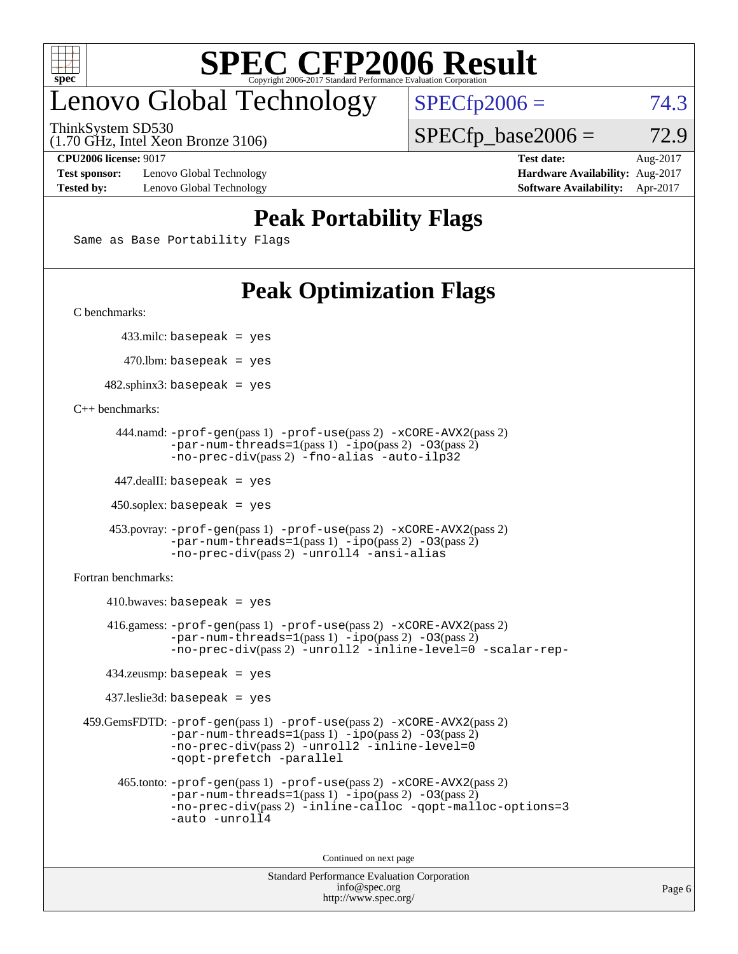

### enovo Global Technology

ThinkSystem SD530

(1.70 GHz, Intel Xeon Bronze 3106)

#### **[CPU2006 license:](http://www.spec.org/auto/cpu2006/Docs/result-fields.html#CPU2006license)** 9017 **[Test date:](http://www.spec.org/auto/cpu2006/Docs/result-fields.html#Testdate)** Aug-2017

 $SPECTp2006 = 74.3$ 

 $SPECTp\_base2006 = 72.9$ 

**[Test sponsor:](http://www.spec.org/auto/cpu2006/Docs/result-fields.html#Testsponsor)** Lenovo Global Technology **[Hardware Availability:](http://www.spec.org/auto/cpu2006/Docs/result-fields.html#HardwareAvailability)** Aug-2017 **[Tested by:](http://www.spec.org/auto/cpu2006/Docs/result-fields.html#Testedby)** Lenovo Global Technology **[Software Availability:](http://www.spec.org/auto/cpu2006/Docs/result-fields.html#SoftwareAvailability)** Apr-2017

#### **[Peak Portability Flags](http://www.spec.org/auto/cpu2006/Docs/result-fields.html#PeakPortabilityFlags)**

Same as Base Portability Flags

### **[Peak Optimization Flags](http://www.spec.org/auto/cpu2006/Docs/result-fields.html#PeakOptimizationFlags)**

[C benchmarks](http://www.spec.org/auto/cpu2006/Docs/result-fields.html#Cbenchmarks):

433.milc: basepeak = yes

 $470$ .lbm: basepeak = yes

 $482$ .sphinx3: basepeak = yes

#### [C++ benchmarks:](http://www.spec.org/auto/cpu2006/Docs/result-fields.html#CXXbenchmarks)

```
 444.namd: -prof-gen(pass 1) -prof-use(pass 2) -xCORE-AVX2(pass 2)
        -par-num-threads=1(pass 1) -ipo(pass 2) -O3(pass 2)
        -no-prec-div(pass 2) -fno-alias -auto-ilp32
```
447.dealII: basepeak = yes

 $450$ .soplex: basepeak = yes

```
 453.povray: -prof-gen(pass 1) -prof-use(pass 2) -xCORE-AVX2(pass 2)
         -par-num-threads=1-ipo-O3(pass 2)-no-prec-div(pass 2) -unroll4 -ansi-alias
```
[Fortran benchmarks](http://www.spec.org/auto/cpu2006/Docs/result-fields.html#Fortranbenchmarks):

```
410.bwaves: basepeak = yes 416.gamess: -prof-gen(pass 1) -prof-use(pass 2) -xCORE-AVX2(pass 2)
            -par-num-threads=1-ipo-O3(pass 2)-no-prec-div(pass 2) -unroll2 -inline-level=0 -scalar-rep-
    434.zeusmp: basepeak = yes
    437.leslie3d: basepeak = yes
 459.GemsFDTD: -prof-gen(pass 1) -prof-use(pass 2) -xCORE-AVX2(pass 2)
            -par-num-threads=1-ipo-O3(pass 2)-no-prec-div(pass 2) -unroll2 -inline-level=0
            -qopt-prefetch -parallel
      465.tonto: -prof-gen(pass 1) -prof-use(pass 2) -xCORE-AVX2(pass 2)
            -par-num-threads=1(pass 1) -ipo(pass 2) -O3(pass 2)
            -no-prec-div-inline-calloc-qopt-malloc-options=3
```
[-auto](http://www.spec.org/cpu2006/results/res2017q4/cpu2006-20170918-49598.flags.html#user_peakOPTIMIZE465_tonto_f-auto) [-unroll4](http://www.spec.org/cpu2006/results/res2017q4/cpu2006-20170918-49598.flags.html#user_peakOPTIMIZE465_tonto_f-unroll_4e5e4ed65b7fd20bdcd365bec371b81f)

Continued on next page

```
Standard Performance Evaluation Corporation
             info@spec.org
           http://www.spec.org/
```